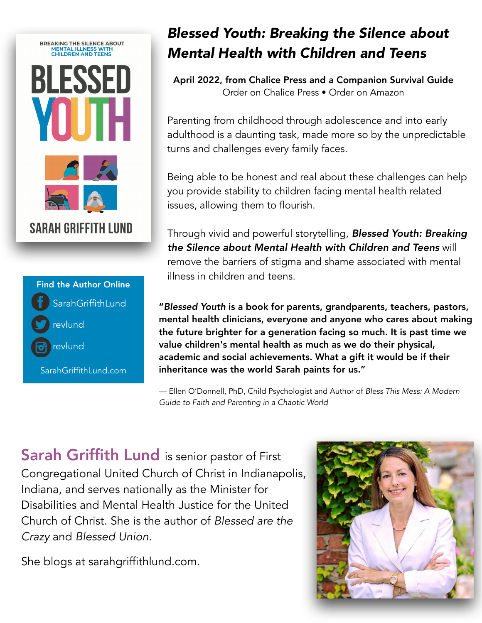

## **SarahGriffithLund** revlund revlund Find the Author Online SarahGriffithLund.com

## *Blessed Youth: Breaking the Silence about Mental Health with Children and Teens*

April 2022, from Chalice Press and a Companion Survival Guide [Order on Chalice Press](https://chalicepress.com/products/blessed-youth-breaking-the-silence-about-mental-illness-with-children-and-teens?_pos=1&_sid=930a25bb3&_ss=r&fbclid=IwAR1i2ic6kYPyqz_VhirXiupUQlZ_nQ5dmww9CaAn45O52dpRO09eb2y48cI) • [Order on Amazon](https://www.amazon.com/Blessed-Youth-Breaking-Silence-Children/dp/0827203209)

Parenting from childhood through adolescence and into early adulthood is a daunting task, made more so by the unpredictable turns and challenges every family faces.

Being able to be honest and real about these challenges can help you provide stability to children facing mental health related issues, allowing them to flourish.

Through vivid and powerful storytelling, *Blessed Youth: Breaking the Silence about Mental Health with Children and Teens* will remove the barriers of stigma and shame associated with mental illness in children and teens.

"*Blessed Youth* is a book for parents, grandparents, teachers, pastors, mental health clinicians, everyone and anyone who cares about making the future brighter for a generation facing so much. It is past time we value children's mental health as much as we do their physical, academic and social achievements. What a gift it would be if their inheritance was the world Sarah paints for us."

— Ellen O'Donnell, PhD, Child Psychologist and Author of *Bless This Mess: A Modern Guide to Faith and Parenting in a Chaotic World*

Sarah Griffith Lund is senior pastor of First Congregational United Church of Christ in Indianapolis, Indiana, and serves nationally as the Minister for Disabilities and Mental Health Justice for the United Church of Christ. She is the author of *Blessed are the Crazy* and *Blessed Union.* 

She blogs at sarahgriffithlund.com.